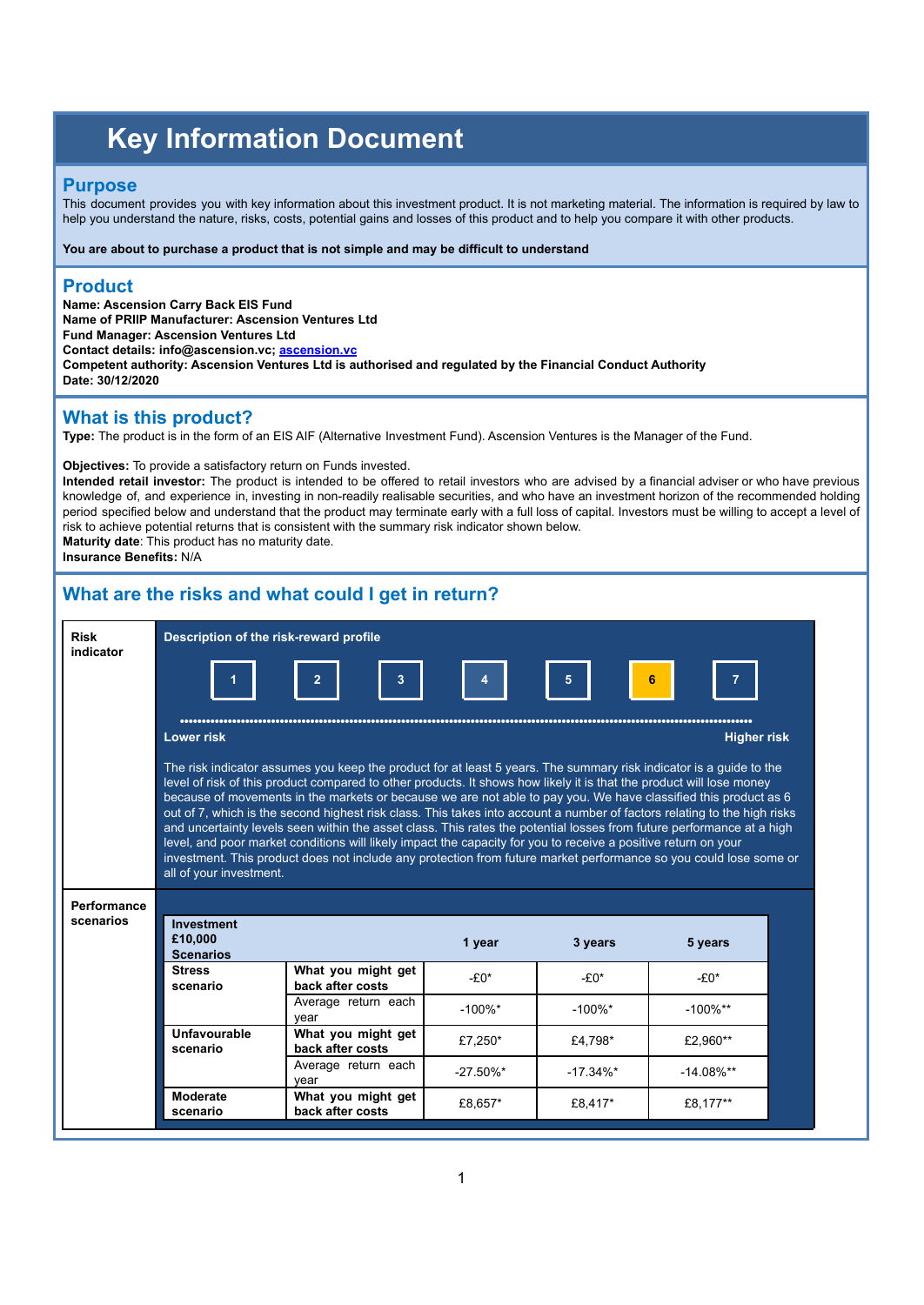# **Key Information Document**

#### **Purpose**

This document provides you with key information about this investment product. It is not marketing material. The information is required by law to help you understand the nature, risks, costs, potential gains and losses of this product and to help you compare it with other products.

**You are about to purchase a product that is not simple and may be difficult to understand**

#### **Product**

**Name: Ascension Carry Back EIS Fund Name of PRIIP Manufacturer: Ascension Ventures Ltd Fund Manager: Ascension Ventures Ltd Contact details: info@ascension.vc; [ascension.vc](http://www.ascensionventures.com) Competent authority: Ascension Ventures Ltd is authorised and regulated by the Financial Conduct Authority Date: 30/12/2020**

## **What is this product?**

**Type:** The product is in the form of an EIS AIF (Alternative Investment Fund). Ascension Ventures is the Manager of the Fund.

**Objectives:** To provide a satisfactory return on Funds invested.

**Intended retail investor:** The product is intended to be offered to retail investors who are advised by a financial adviser or who have previous knowledge of, and experience in, investing in non-readily realisable securities, and who have an investment horizon of the recommended holding period specified below and understand that the product may terminate early with a full loss of capital. Investors must be willing to accept a level of risk to achieve potential returns that is consistent with the summary risk indicator shown below. **Maturity date**: This product has no maturity date.

**Insurance Benefits:** N/A

# **What are the risks and what could I get in return?**

| <b>Risk</b><br>indicator | Description of the risk-reward profile                                                                                                                                                                                                                                                                                                                                                                                                                                                                                                                                                                                                                                                                                                                         |                                        |              |              |                    |  |  |
|--------------------------|----------------------------------------------------------------------------------------------------------------------------------------------------------------------------------------------------------------------------------------------------------------------------------------------------------------------------------------------------------------------------------------------------------------------------------------------------------------------------------------------------------------------------------------------------------------------------------------------------------------------------------------------------------------------------------------------------------------------------------------------------------------|----------------------------------------|--------------|--------------|--------------------|--|--|
|                          |                                                                                                                                                                                                                                                                                                                                                                                                                                                                                                                                                                                                                                                                                                                                                                | 3                                      |              | 5            | 6                  |  |  |
|                          | <b>Lower risk</b>                                                                                                                                                                                                                                                                                                                                                                                                                                                                                                                                                                                                                                                                                                                                              |                                        |              |              | <b>Higher risk</b> |  |  |
|                          | level of risk of this product compared to other products. It shows how likely it is that the product will lose money<br>because of movements in the markets or because we are not able to pay you. We have classified this product as 6<br>out of 7, which is the second highest risk class. This takes into account a number of factors relating to the high risks<br>and uncertainty levels seen within the asset class. This rates the potential losses from future performance at a high<br>level, and poor market conditions will likely impact the capacity for you to receive a positive return on your<br>investment. This product does not include any protection from future market performance so you could lose some or<br>all of your investment. |                                        |              |              |                    |  |  |
|                          |                                                                                                                                                                                                                                                                                                                                                                                                                                                                                                                                                                                                                                                                                                                                                                |                                        |              |              |                    |  |  |
| Performance<br>scenarios | <b>Investment</b><br>£10.000<br><b>Scenarios</b>                                                                                                                                                                                                                                                                                                                                                                                                                                                                                                                                                                                                                                                                                                               |                                        | 1 year       | 3 years      | 5 years            |  |  |
|                          | <b>Stress</b><br>scenario                                                                                                                                                                                                                                                                                                                                                                                                                                                                                                                                                                                                                                                                                                                                      | What you might get<br>back after costs | $-£0*$       | $-£0*$       | $-£0*$             |  |  |
|                          |                                                                                                                                                                                                                                                                                                                                                                                                                                                                                                                                                                                                                                                                                                                                                                | Average return each<br>year            | $-100\%$ *   | $-100\%$ *   | $-100\%$ **        |  |  |
|                          | Unfavourable<br>scenario                                                                                                                                                                                                                                                                                                                                                                                                                                                                                                                                                                                                                                                                                                                                       | What you might get<br>back after costs | £7,250*      | £4,798*      | £2.960**           |  |  |
|                          |                                                                                                                                                                                                                                                                                                                                                                                                                                                                                                                                                                                                                                                                                                                                                                | Average return each<br>vear            | $-27.50\%$ * | $-17.34\%$ * | $-14.08\%$ **      |  |  |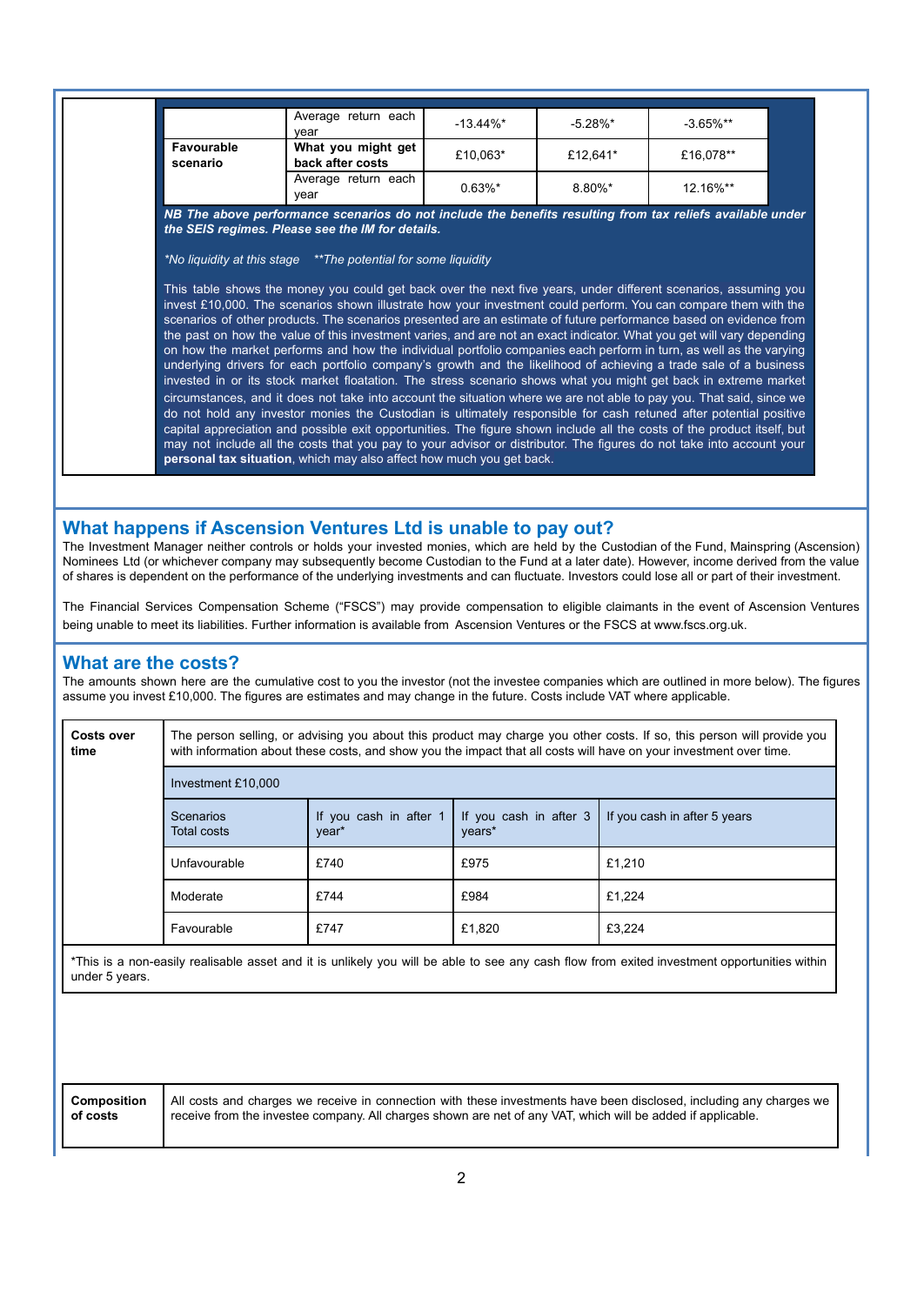|                        | Average return each<br>vear                                                                                                                                                                                                                                                                                                                                                                                                                                                         | $-13.44\%$ * | $-5.28\%$ * | $-3.65\%$ ** |
|------------------------|-------------------------------------------------------------------------------------------------------------------------------------------------------------------------------------------------------------------------------------------------------------------------------------------------------------------------------------------------------------------------------------------------------------------------------------------------------------------------------------|--------------|-------------|--------------|
| Favourable<br>scenario | What you might get<br>back after costs                                                                                                                                                                                                                                                                                                                                                                                                                                              | £10,063*     | £12,641*    | £16.078**    |
|                        | Average return each<br>vear                                                                                                                                                                                                                                                                                                                                                                                                                                                         | $0.63\%$ *   | 8.80%*      | 12.16%**     |
|                        | NB The above performance scenarios do not include the benefits resulting from tax reliefs available under<br>the SEIS regimes. Please see the IM for details.<br>*No liquidity at this stage **The potential for some liquidity                                                                                                                                                                                                                                                     |              |             |              |
|                        | This table shows the money you could get back over the next five years, under different scenarios, assuming you<br>invest £10,000. The scenarios shown illustrate how your investment could perform. You can compare them with the<br>scenarios of other products. The scenarios presented are an estimate of future performance based on evidence from                                                                                                                             |              |             |              |
|                        | the past on how the value of this investment varies, and are not an exact indicator. What you get will vary depending<br>on how the market performs and how the individual portfolio companies each perform in turn, as well as the varying<br>underlying drivers for each portfolio company's growth and the likelihood of achieving a trade sale of a business<br>invested in or its stock market floatation. The stress scenario shows what you might get back in extreme market |              |             |              |

#### **What happens if Ascension Ventures Ltd is unable to pay out?**

The Investment Manager neither controls or holds your invested monies, which are held by the Custodian of the Fund, Mainspring (Ascension) Nominees Ltd (or whichever company may subsequently become Custodian to the Fund at a later date). However, income derived from the value of shares is dependent on the performance of the underlying investments and can fluctuate. Investors could lose all or part of their investment.

The Financial Services Compensation Scheme ("FSCS") may provide compensation to eligible claimants in the event of Ascension Ventures being unable to meet its liabilities. Further information is available from Ascension Ventures or the FSCS at [www.fscs.org.uk.](http://www.fscs.org.uk)

#### **What are the costs?**

The amounts shown here are the cumulative cost to you the investor (not the investee companies which are outlined in more below). The figures assume you invest £10,000. The figures are estimates and may change in the future. Costs include VAT where applicable.

| <b>Costs over</b><br>time | The person selling, or advising you about this product may charge you other costs. If so, this person will provide you<br>with information about these costs, and show you the impact that all costs will have on your investment over time. |                                 |                                  |                              |  |  |
|---------------------------|----------------------------------------------------------------------------------------------------------------------------------------------------------------------------------------------------------------------------------------------|---------------------------------|----------------------------------|------------------------------|--|--|
|                           | Investment £10,000                                                                                                                                                                                                                           |                                 |                                  |                              |  |  |
|                           | Scenarios<br>Total costs                                                                                                                                                                                                                     | If you cash in after 1<br>year* | If you cash in after 3<br>years* | If you cash in after 5 years |  |  |
|                           | Unfavourable                                                                                                                                                                                                                                 | £740                            | £975                             | £1,210                       |  |  |
|                           | Moderate                                                                                                                                                                                                                                     | £744                            | £984                             | £1,224                       |  |  |
|                           | Favourable                                                                                                                                                                                                                                   | £747                            | £1,820                           | £3,224                       |  |  |
| under 5 years.            | *This is a non-easily realisable asset and it is unlikely you will be able to see any cash flow from exited investment opportunities within                                                                                                  |                                 |                                  |                              |  |  |

| Composition |  |
|-------------|--|
| of costs    |  |

All costs and charges we receive in connection with these investments have been disclosed, including any charges we receive from the investee company. All charges shown are net of any VAT, which will be added if applicable.